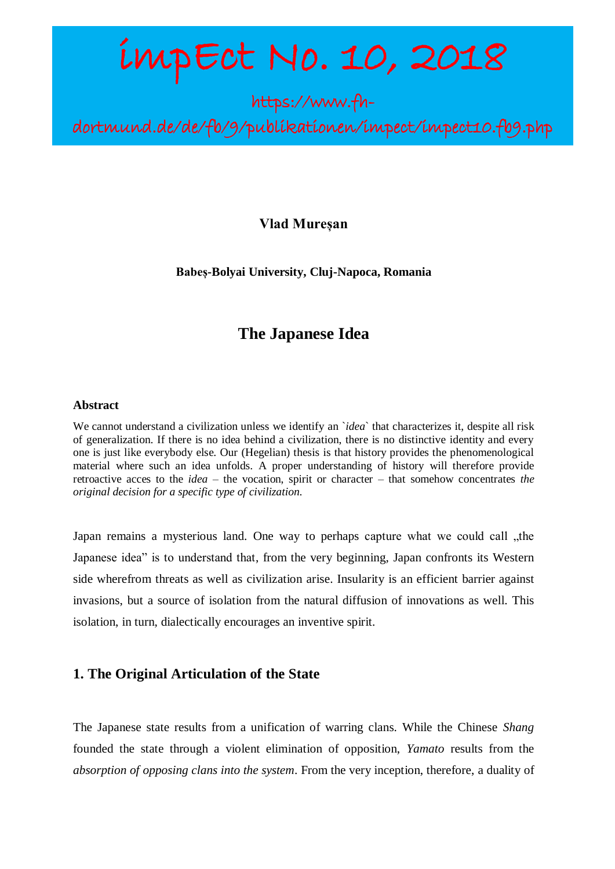# impEct No. 10, 2018

https://www.fh-

dortmund.de/de/fb/9/publikationen/impect/impect10.fb9.php

## **Vlad Mureșan**

**Babeș-Bolyai University, Cluj-Napoca, Romania**

## **The Japanese Idea**

#### **Abstract**

We cannot understand a civilization unless we identify an *`idea*` that characterizes it, despite all risk of generalization. If there is no idea behind a civilization, there is no distinctive identity and every one is just like everybody else. Our (Hegelian) thesis is that history provides the phenomenological material where such an idea unfolds. A proper understanding of history will therefore provide retroactive acces to the *idea* – the vocation, spirit or character – that somehow concentrates *the original decision for a specific type of civilization*.

Japan remains a mysterious land. One way to perhaps capture what we could call "the Japanese idea" is to understand that, from the very beginning, Japan confronts its Western side wherefrom threats as well as civilization arise. Insularity is an efficient barrier against invasions, but a source of isolation from the natural diffusion of innovations as well. This isolation, in turn, dialectically encourages an inventive spirit.

## **1. The Original Articulation of the State**

The Japanese state results from a unification of warring clans. While the Chinese *Shang* founded the state through a violent elimination of opposition, *Yamato* results from the *absorption of opposing clans into the system*. From the very inception, therefore, a duality of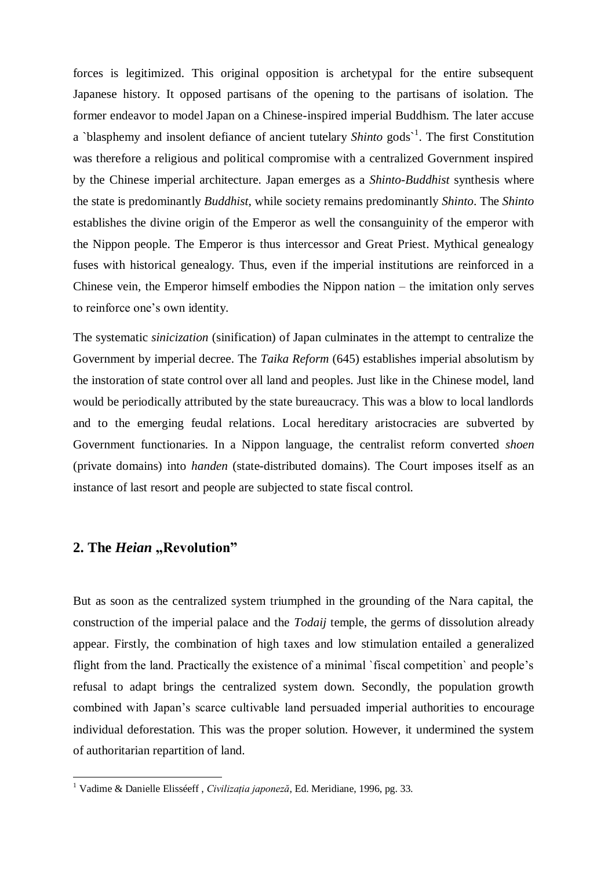forces is legitimized. This original opposition is archetypal for the entire subsequent Japanese history. It opposed partisans of the opening to the partisans of isolation. The former endeavor to model Japan on a Chinese-inspired imperial Buddhism. The later accuse a `blasphemy and insolent defiance of ancient tutelary *Shinto* gods<sup>1</sup>. The first Constitution was therefore a religious and political compromise with a centralized Government inspired by the Chinese imperial architecture. Japan emerges as a *Shinto-Buddhist* synthesis where the state is predominantly *Buddhist*, while society remains predominantly *Shinto*. The *Shinto* establishes the divine origin of the Emperor as well the consanguinity of the emperor with the Nippon people. The Emperor is thus intercessor and Great Priest. Mythical genealogy fuses with historical genealogy. Thus, even if the imperial institutions are reinforced in a Chinese vein, the Emperor himself embodies the Nippon nation – the imitation only serves to reinforce one's own identity.

The systematic *sinicization* (sinification) of Japan culminates in the attempt to centralize the Government by imperial decree. The *Taika Reform* (645) establishes imperial absolutism by the instoration of state control over all land and peoples. Just like in the Chinese model, land would be periodically attributed by the state bureaucracy. This was a blow to local landlords and to the emerging feudal relations. Local hereditary aristocracies are subverted by Government functionaries. In a Nippon language, the centralist reform converted *shoen* (private domains) into *handen* (state-distributed domains). The Court imposes itself as an instance of last resort and people are subjected to state fiscal control.

## **2. The** *Heian* **"Revolution"**

**.** 

But as soon as the centralized system triumphed in the grounding of the Nara capital, the construction of the imperial palace and the *Todaij* temple, the germs of dissolution already appear. Firstly, the combination of high taxes and low stimulation entailed a generalized flight from the land. Practically the existence of a minimal `fiscal competition` and people's refusal to adapt brings the centralized system down. Secondly, the population growth combined with Japan's scarce cultivable land persuaded imperial authorities to encourage individual deforestation. This was the proper solution. However, it undermined the system of authoritarian repartition of land.

<sup>1</sup> Vadime & Danielle Elisséeff , *Civilizația japoneză*, Ed. Meridiane, 1996, pg. 33.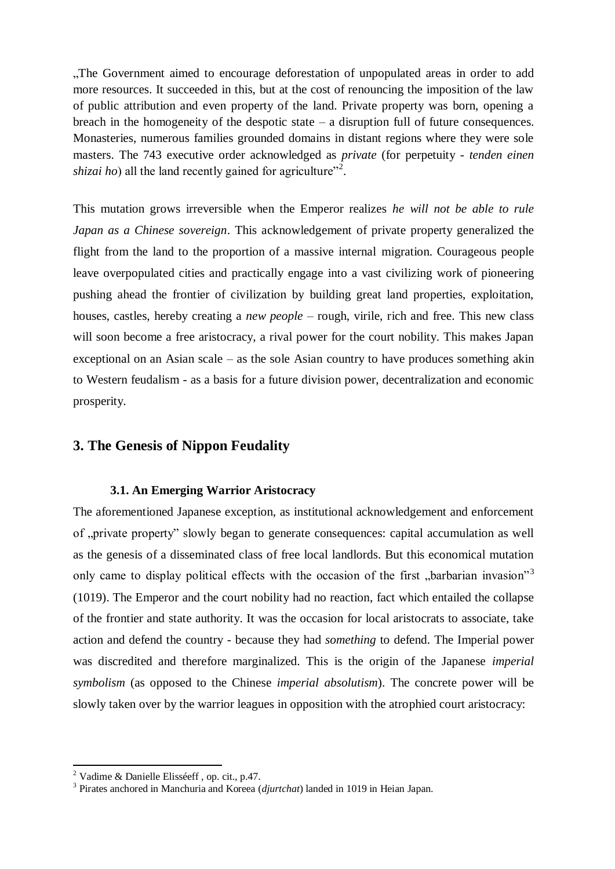"The Government aimed to encourage deforestation of unpopulated areas in order to add more resources. It succeeded in this, but at the cost of renouncing the imposition of the law of public attribution and even property of the land. Private property was born, opening a breach in the homogeneity of the despotic state  $-$  a disruption full of future consequences. Monasteries, numerous families grounded domains in distant regions where they were sole masters. The 743 executive order acknowledged as *private* (for perpetuity - *tenden einen shizai ho*) all the land recently gained for agriculture"<sup>2</sup>.

This mutation grows irreversible when the Emperor realizes *he will not be able to rule Japan as a Chinese sovereign*. This acknowledgement of private property generalized the flight from the land to the proportion of a massive internal migration. Courageous people leave overpopulated cities and practically engage into a vast civilizing work of pioneering pushing ahead the frontier of civilization by building great land properties, exploitation, houses, castles, hereby creating a *new people* – rough, virile, rich and free. This new class will soon become a free aristocracy, a rival power for the court nobility. This makes Japan exceptional on an Asian scale – as the sole Asian country to have produces something akin to Western feudalism - as a basis for a future division power, decentralization and economic prosperity.

## **3. The Genesis of Nippon Feudality**

## **3.1. An Emerging Warrior Aristocracy**

The aforementioned Japanese exception, as institutional acknowledgement and enforcement of ,,private property" slowly began to generate consequences: capital accumulation as well as the genesis of a disseminated class of free local landlords. But this economical mutation only came to display political effects with the occasion of the first "barbarian invasion"<sup>3</sup> (1019). The Emperor and the court nobility had no reaction, fact which entailed the collapse of the frontier and state authority. It was the occasion for local aristocrats to associate, take action and defend the country - because they had *something* to defend. The Imperial power was discredited and therefore marginalized. This is the origin of the Japanese *imperial symbolism* (as opposed to the Chinese *imperial absolutism*). The concrete power will be slowly taken over by the warrior leagues in opposition with the atrophied court aristocracy:

<sup>&</sup>lt;sup>2</sup> Vadime & Danielle Elisséeff, op. cit., p.47.

<sup>3</sup> Pirates anchored in Manchuria and Koreea (*djurtchat*) landed in 1019 in Heian Japan.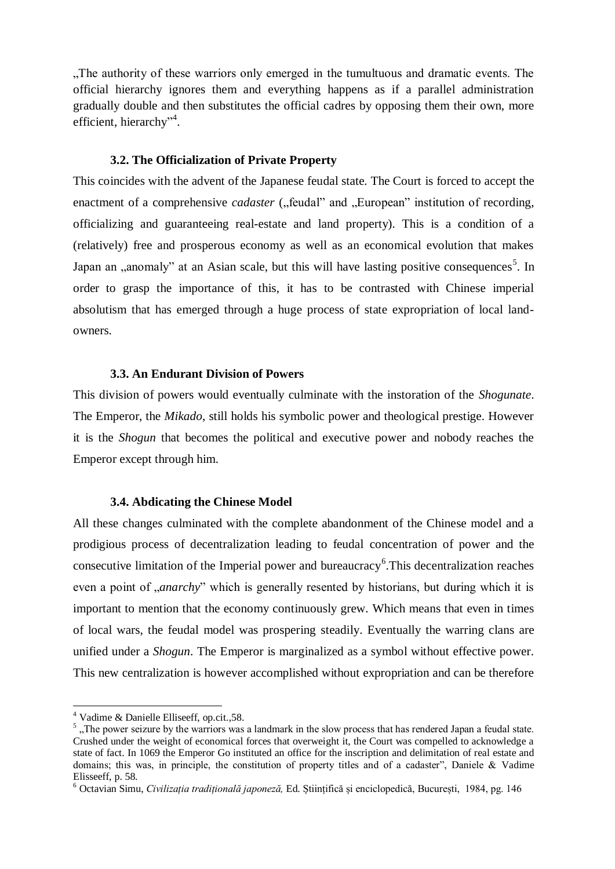"The authority of these warriors only emerged in the tumultuous and dramatic events. The official hierarchy ignores them and everything happens as if a parallel administration gradually double and then substitutes the official cadres by opposing them their own, more efficient, hierarchy"<sup>4</sup>.

#### **3.2. The Officialization of Private Property**

This coincides with the advent of the Japanese feudal state. The Court is forced to accept the enactment of a comprehensive *cadaster* ("feudal" and "European" institution of recording, officializing and guaranteeing real-estate and land property). This is a condition of a (relatively) free and prosperous economy as well as an economical evolution that makes Japan an "anomaly" at an Asian scale, but this will have lasting positive consequences<sup>5</sup>. In order to grasp the importance of this, it has to be contrasted with Chinese imperial absolutism that has emerged through a huge process of state expropriation of local landowners.

#### **3.3. An Endurant Division of Powers**

This division of powers would eventually culminate with the instoration of the *Shogunate*. The Emperor, the *Mikado*, still holds his symbolic power and theological prestige. However it is the *Shogun* that becomes the political and executive power and nobody reaches the Emperor except through him.

#### **3.4. Abdicating the Chinese Model**

All these changes culminated with the complete abandonment of the Chinese model and a prodigious process of decentralization leading to feudal concentration of power and the consecutive limitation of the Imperial power and bureaucracy<sup>6</sup>. This decentralization reaches even a point of *anarchy*" which is generally resented by historians, but during which it is important to mention that the economy continuously grew. Which means that even in times of local wars, the feudal model was prospering steadily. Eventually the warring clans are unified under a *Shogun*. The Emperor is marginalized as a symbol without effective power. This new centralization is however accomplished without expropriation and can be therefore

<sup>4</sup> Vadime & Danielle Elliseeff, op.cit.,58.

 $<sup>5</sup>$ , The power seizure by the warriors was a landmark in the slow process that has rendered Japan a feudal state.</sup> Crushed under the weight of economical forces that overweight it, the Court was compelled to acknowledge a state of fact. In 1069 the Emperor Go instituted an office for the inscription and delimitation of real estate and domains; this was, in principle, the constitution of property titles and of a cadaster", Daniele & Vadime Elisseeff, p. 58.

<sup>6</sup> Octavian Simu, *Civilizația tradițională japoneză,* Ed. Științifică și enciclopedică, București, 1984, pg. 146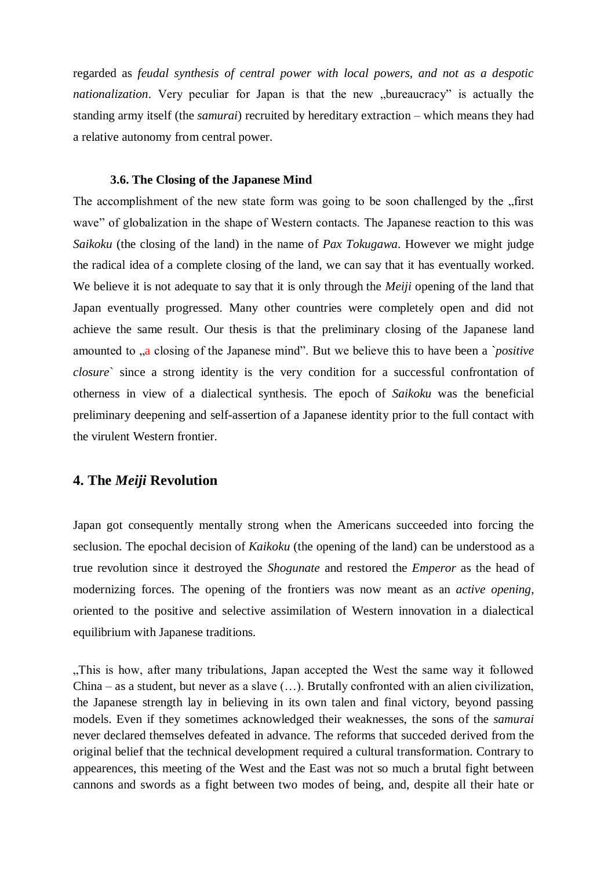regarded as *feudal synthesis of central power with local powers, and not as a despotic nationalization*. Very peculiar for Japan is that the new "bureaucracy" is actually the standing army itself (the *samurai*) recruited by hereditary extraction – which means they had a relative autonomy from central power.

#### **3.6. The Closing of the Japanese Mind**

The accomplishment of the new state form was going to be soon challenged by the "first wave" of globalization in the shape of Western contacts. The Japanese reaction to this was *Saikoku* (the closing of the land) in the name of *Pax Tokugawa*. However we might judge the radical idea of a complete closing of the land, we can say that it has eventually worked. We believe it is not adequate to say that it is only through the *Meiji* opening of the land that Japan eventually progressed. Many other countries were completely open and did not achieve the same result. Our thesis is that the preliminary closing of the Japanese land amounted to "a closing of the Japanese mind". But we believe this to have been a *`positive closure*` since a strong identity is the very condition for a successful confrontation of otherness in view of a dialectical synthesis. The epoch of *Saikoku* was the beneficial preliminary deepening and self-assertion of a Japanese identity prior to the full contact with the virulent Western frontier.

## **4. The** *Meiji* **Revolution**

Japan got consequently mentally strong when the Americans succeeded into forcing the seclusion. The epochal decision of *Kaikoku* (the opening of the land) can be understood as a true revolution since it destroyed the *Shogunate* and restored the *Emperor* as the head of modernizing forces. The opening of the frontiers was now meant as an *active opening*, oriented to the positive and selective assimilation of Western innovation in a dialectical equilibrium with Japanese traditions.

"This is how, after many tribulations, Japan accepted the West the same way it followed China – as a student, but never as a slave  $(\ldots)$ . Brutally confronted with an alien civilization, the Japanese strength lay in believing in its own talen and final victory, beyond passing models. Even if they sometimes acknowledged their weaknesses, the sons of the *samurai* never declared themselves defeated in advance. The reforms that succeded derived from the original belief that the technical development required a cultural transformation. Contrary to appearences, this meeting of the West and the East was not so much a brutal fight between cannons and swords as a fight between two modes of being, and, despite all their hate or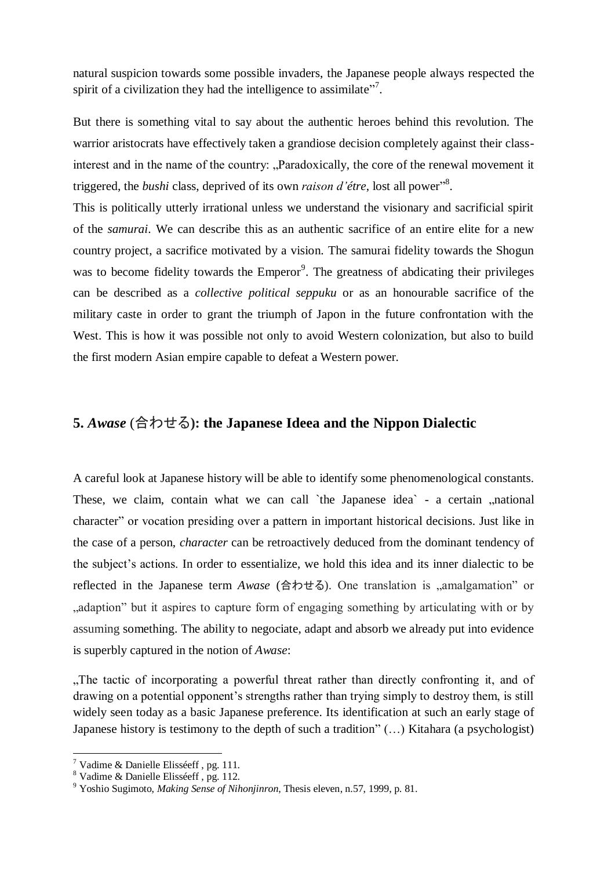natural suspicion towards some possible invaders, the Japanese people always respected the spirit of a civilization they had the intelligence to assimilate"<sup>7</sup>.

But there is something vital to say about the authentic heroes behind this revolution. The warrior aristocrats have effectively taken a grandiose decision completely against their classinterest and in the name of the country: "Paradoxically, the core of the renewal movement it triggered, the *bushi* class, deprived of its own *raison d'étre*, lost all power" 8 .

This is politically utterly irrational unless we understand the visionary and sacrificial spirit of the *samurai*. We can describe this as an authentic sacrifice of an entire elite for a new country project, a sacrifice motivated by a vision. The samurai fidelity towards the Shogun was to become fidelity towards the Emperor<sup>9</sup>. The greatness of abdicating their privileges can be described as a *collective political seppuku* or as an honourable sacrifice of the military caste in order to grant the triumph of Japon in the future confrontation with the West. This is how it was possible not only to avoid Western colonization, but also to build the first modern Asian empire capable to defeat a Western power.

## **5.** *Awase* (合わせる**): the Japanese Ideea and the Nippon Dialectic**

A careful look at Japanese history will be able to identify some phenomenological constants. These, we claim, contain what we can call `the Japanese idea` - a certain , national character" or vocation presiding over a pattern in important historical decisions. Just like in the case of a person, *character* can be retroactively deduced from the dominant tendency of the subject's actions. In order to essentialize, we hold this idea and its inner dialectic to be reflected in the Japanese term *Awase* (合わせる). One translation is "amalgamation" or ...adaption" but it aspires to capture form of engaging something by articulating with or by assuming something. The ability to negociate, adapt and absorb we already put into evidence is superbly captured in the notion of *Awase*:

"The tactic of incorporating a powerful threat rather than directly confronting it, and of drawing on a potential opponent's strengths rather than trying simply to destroy them, is still widely seen today as a basic Japanese preference. Its identification at such an early stage of Japanese history is testimony to the depth of such a tradition" (…) Kitahara (a psychologist)

<sup>7</sup> Vadime & Danielle Elisséeff , pg. 111.

<sup>8</sup> Vadime & Danielle Elisséeff , pg. 112.

<sup>9</sup> Yoshio Sugimoto, *Making Sense of Nihonjinron*, Thesis eleven, n.57, 1999, p. 81.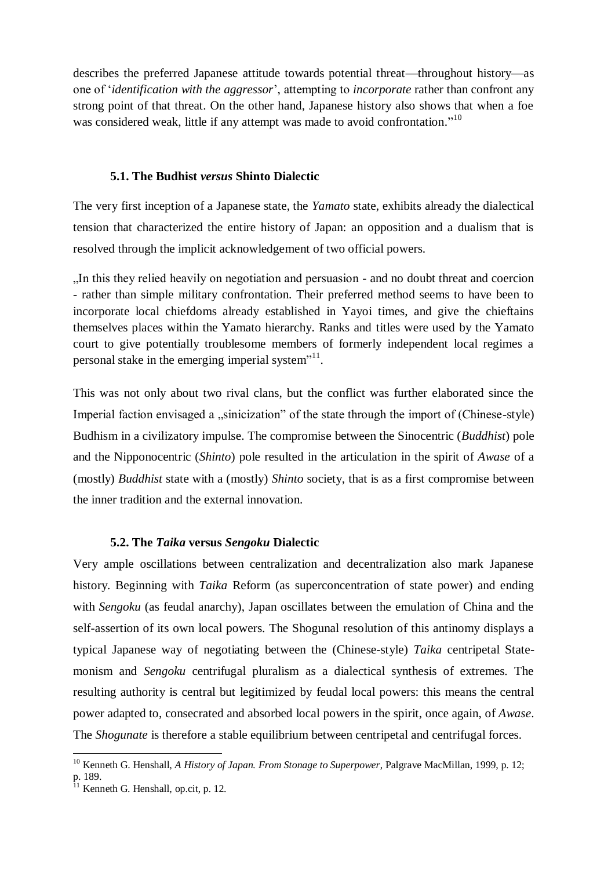describes the preferred Japanese attitude towards potential threat—throughout history—as one of '*identification with the aggressor*', attempting to *incorporate* rather than confront any strong point of that threat. On the other hand, Japanese history also shows that when a foe was considered weak, little if any attempt was made to avoid confrontation."<sup>10</sup>

#### **5.1. The Budhist** *versus* **Shinto Dialectic**

The very first inception of a Japanese state, the *Yamato* state, exhibits already the dialectical tension that characterized the entire history of Japan: an opposition and a dualism that is resolved through the implicit acknowledgement of two official powers.

"In this they relied heavily on negotiation and persuasion - and no doubt threat and coercion - rather than simple military confrontation. Their preferred method seems to have been to incorporate local chiefdoms already established in Yayoi times, and give the chieftains themselves places within the Yamato hierarchy. Ranks and titles were used by the Yamato court to give potentially troublesome members of formerly independent local regimes a personal stake in the emerging imperial system"<sup>11</sup>.

This was not only about two rival clans, but the conflict was further elaborated since the Imperial faction envisaged a "sinicization" of the state through the import of (Chinese-style) Budhism in a civilizatory impulse. The compromise between the Sinocentric (*Buddhist*) pole and the Nipponocentric (*Shinto*) pole resulted in the articulation in the spirit of *Awase* of a (mostly) *Buddhist* state with a (mostly) *Shinto* society, that is as a first compromise between the inner tradition and the external innovation.

#### **5.2. The** *Taika* **versus** *Sengoku* **Dialectic**

Very ample oscillations between centralization and decentralization also mark Japanese history. Beginning with *Taika* Reform (as superconcentration of state power) and ending with *Sengoku* (as feudal anarchy), Japan oscillates between the emulation of China and the self-assertion of its own local powers. The Shogunal resolution of this antinomy displays a typical Japanese way of negotiating between the (Chinese-style) *Taika* centripetal Statemonism and *Sengoku* centrifugal pluralism as a dialectical synthesis of extremes. The resulting authority is central but legitimized by feudal local powers: this means the central power adapted to, consecrated and absorbed local powers in the spirit, once again, of *Awase*. The *Shogunate* is therefore a stable equilibrium between centripetal and centrifugal forces.

<sup>&</sup>lt;sup>10</sup> Kenneth G. Henshall, *A History of Japan. From Stonage to Superpower*, Palgrave MacMillan, 1999, p. 12; p. 189.

<sup>&</sup>lt;sup>11</sup> Kenneth G. Henshall, op.cit, p. 12.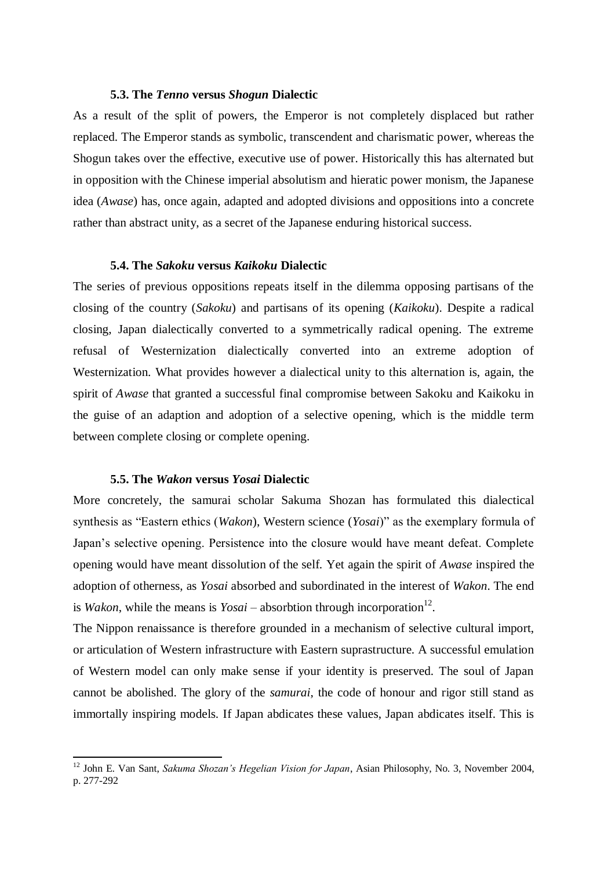#### **5.3. The** *Tenno* **versus** *Shogun* **Dialectic**

As a result of the split of powers, the Emperor is not completely displaced but rather replaced. The Emperor stands as symbolic, transcendent and charismatic power, whereas the Shogun takes over the effective, executive use of power. Historically this has alternated but in opposition with the Chinese imperial absolutism and hieratic power monism, the Japanese idea (*Awase*) has, once again, adapted and adopted divisions and oppositions into a concrete rather than abstract unity, as a secret of the Japanese enduring historical success.

#### **5.4. The** *Sakoku* **versus** *Kaikoku* **Dialectic**

The series of previous oppositions repeats itself in the dilemma opposing partisans of the closing of the country (*Sakoku*) and partisans of its opening (*Kaikoku*). Despite a radical closing, Japan dialectically converted to a symmetrically radical opening. The extreme refusal of Westernization dialectically converted into an extreme adoption of Westernization. What provides however a dialectical unity to this alternation is, again, the spirit of *Awase* that granted a successful final compromise between Sakoku and Kaikoku in the guise of an adaption and adoption of a selective opening, which is the middle term between complete closing or complete opening.

#### **5.5. The** *Wakon* **versus** *Yosai* **Dialectic**

**.** 

More concretely, the samurai scholar Sakuma Shozan has formulated this dialectical synthesis as "Eastern ethics (*Wakon*), Western science (*Yosai*)" as the exemplary formula of Japan's selective opening. Persistence into the closure would have meant defeat. Complete opening would have meant dissolution of the self. Yet again the spirit of *Awase* inspired the adoption of otherness, as *Yosai* absorbed and subordinated in the interest of *Wakon*. The end is *Wakon*, while the means is  $Yosai -$  absorbtion through incorporation<sup>12</sup>.

The Nippon renaissance is therefore grounded in a mechanism of selective cultural import, or articulation of Western infrastructure with Eastern suprastructure. A successful emulation of Western model can only make sense if your identity is preserved. The soul of Japan cannot be abolished. The glory of the *samurai*, the code of honour and rigor still stand as immortally inspiring models. If Japan abdicates these values, Japan abdicates itself. This is

<sup>12</sup> John E. Van Sant, *Sakuma Shozan's Hegelian Vision for Japan*, Asian Philosophy, No. 3, November 2004, p. 277-292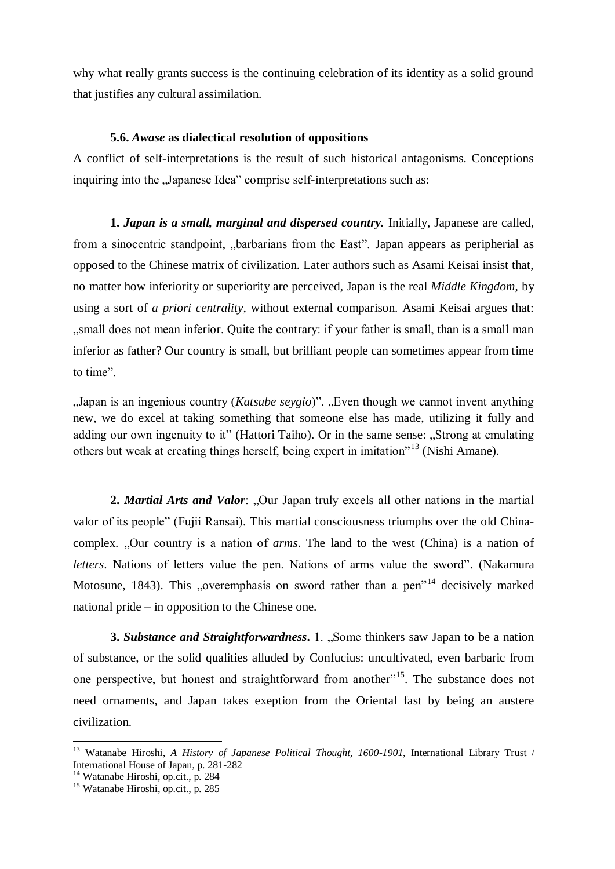why what really grants success is the continuing celebration of its identity as a solid ground that justifies any cultural assimilation.

#### **5.6.** *Awase* **as dialectical resolution of oppositions**

A conflict of self-interpretations is the result of such historical antagonisms. Conceptions inquiring into the "Japanese Idea" comprise self-interpretations such as:

**1.** *Japan is a small, marginal and dispersed country.* Initially, Japanese are called, from a sinocentric standpoint, "barbarians from the East". Japan appears as peripherial as opposed to the Chinese matrix of civilization. Later authors such as Asami Keisai insist that, no matter how inferiority or superiority are perceived, Japan is the real *Middle Kingdom*, by using a sort of *a priori centrality*, without external comparison. Asami Keisai argues that: ", small does not mean inferior. Quite the contrary: if your father is small, than is a small man inferior as father? Our country is small, but brilliant people can sometimes appear from time to time".

"Japan is an ingenious country (*Katsube seygio*)". "Even though we cannot invent anything new, we do excel at taking something that someone else has made, utilizing it fully and adding our own ingenuity to it" (Hattori Taiho). Or in the same sense: "Strong at emulating others but weak at creating things herself, being expert in imitation<sup>"13</sup> (Nishi Amane).

**2.** *Martial Arts and Valor*: "Our Japan truly excels all other nations in the martial valor of its people" (Fujii Ransai). This martial consciousness triumphs over the old Chinacomplex. "Our country is a nation of *arms*. The land to the west (China) is a nation of *letters*. Nations of letters value the pen. Nations of arms value the sword". (Nakamura Motosune, 1843). This "overemphasis on sword rather than a pen<sup> $n^{14}$ </sup> decisively marked national pride – in opposition to the Chinese one.

**3. Substance and Straightforwardness.** 1. "Some thinkers saw Japan to be a nation of substance, or the solid qualities alluded by Confucius: uncultivated, even barbaric from one perspective, but honest and straightforward from another"<sup>15</sup>. The substance does not need ornaments, and Japan takes exeption from the Oriental fast by being an austere civilization.

-

<sup>13</sup> Watanabe Hiroshi, *A History of Japanese Political Thought, 1600-1901*, International Library Trust / International House of Japan, p. 281-282

<sup>&</sup>lt;sup>14</sup> Watanabe Hiroshi, op.cit., p. 284

<sup>15</sup> Watanabe Hiroshi, op.cit., p. 285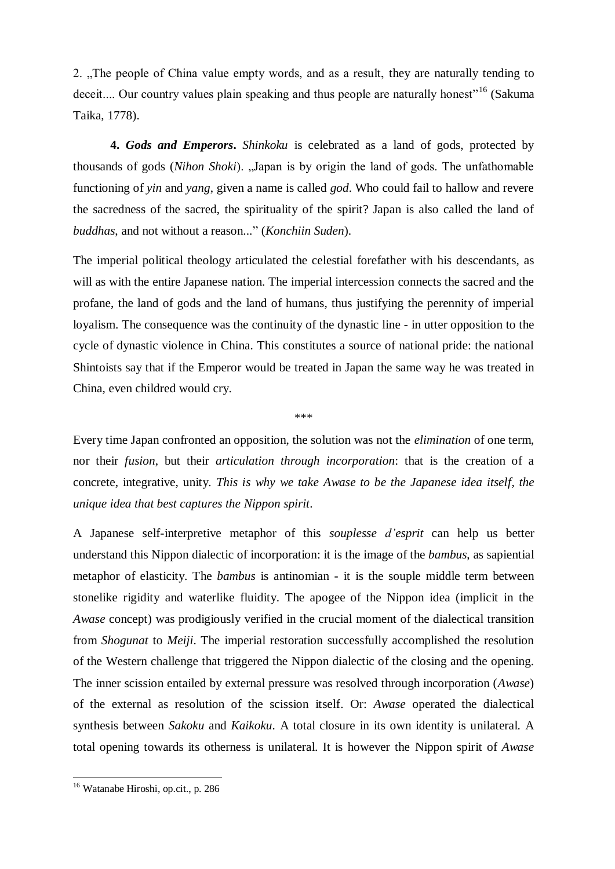2. "The people of China value empty words, and as a result, they are naturally tending to deceit.... Our country values plain speaking and thus people are naturally honest<sup>"16</sup> (Sakuma Taika, 1778).

**4.** *Gods and Emperors***.** *Shinkoku* is celebrated as a land of gods, protected by thousands of gods (*Nihon Shoki*). "Japan is by origin the land of gods. The unfathomable functioning of *yin* and *yang*, given a name is called *god*. Who could fail to hallow and revere the sacredness of the sacred, the spirituality of the spirit? Japan is also called the land of *buddhas*, and not without a reason..." (*Konchiin Suden*).

The imperial political theology articulated the celestial forefather with his descendants, as will as with the entire Japanese nation. The imperial intercession connects the sacred and the profane, the land of gods and the land of humans, thus justifying the perennity of imperial loyalism. The consequence was the continuity of the dynastic line - in utter opposition to the cycle of dynastic violence in China. This constitutes a source of national pride: the national Shintoists say that if the Emperor would be treated in Japan the same way he was treated in China, even childred would cry.

\*\*\*

Every time Japan confronted an opposition, the solution was not the *elimination* of one term, nor their *fusion*, but their *articulation through incorporation*: that is the creation of a concrete, integrative, unity. *This is why we take Awase to be the Japanese idea itself, the unique idea that best captures the Nippon spirit*.

A Japanese self-interpretive metaphor of this *souplesse d'esprit* can help us better understand this Nippon dialectic of incorporation: it is the image of the *bambus*, as sapiential metaphor of elasticity. The *bambus* is antinomian - it is the souple middle term between stonelike rigidity and waterlike fluidity. The apogee of the Nippon idea (implicit in the *Awase* concept) was prodigiously verified in the crucial moment of the dialectical transition from *Shogunat* to *Meiji*. The imperial restoration successfully accomplished the resolution of the Western challenge that triggered the Nippon dialectic of the closing and the opening. The inner scission entailed by external pressure was resolved through incorporation (*Awase*) of the external as resolution of the scission itself. Or: *Awase* operated the dialectical synthesis between *Sakoku* and *Kaikoku*. A total closure in its own identity is unilateral. A total opening towards its otherness is unilateral. It is however the Nippon spirit of *Awase*

**.** 

<sup>&</sup>lt;sup>16</sup> Watanabe Hiroshi, op.cit., p. 286